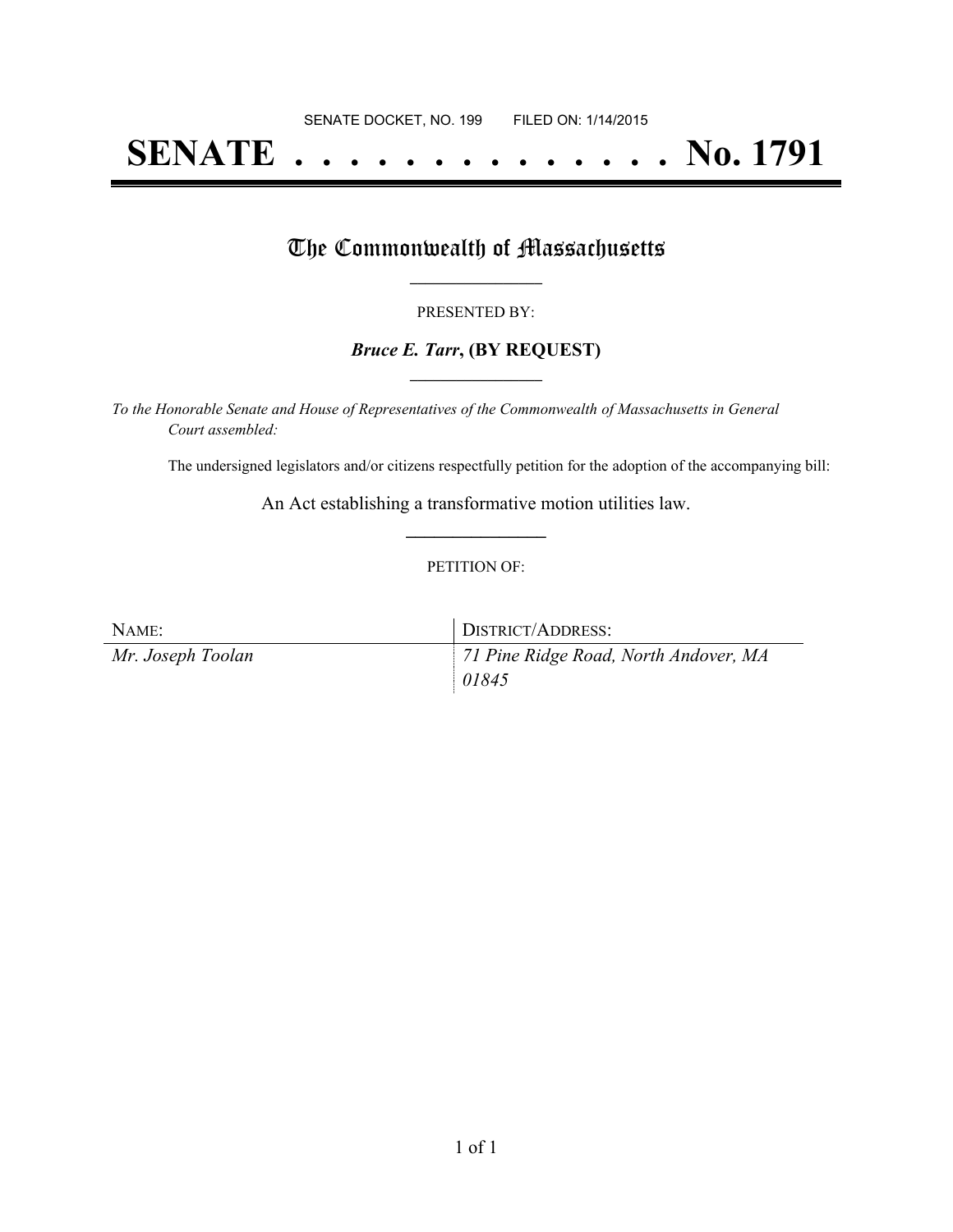# **SENATE . . . . . . . . . . . . . . No. 1791**

### The Commonwealth of Massachusetts

#### PRESENTED BY:

#### *Bruce E. Tarr***, (BY REQUEST) \_\_\_\_\_\_\_\_\_\_\_\_\_\_\_\_\_**

*To the Honorable Senate and House of Representatives of the Commonwealth of Massachusetts in General Court assembled:*

The undersigned legislators and/or citizens respectfully petition for the adoption of the accompanying bill:

An Act establishing a transformative motion utilities law. **\_\_\_\_\_\_\_\_\_\_\_\_\_\_\_**

#### PETITION OF:

| NAME:             | DISTRICT/ADDRESS:                     |
|-------------------|---------------------------------------|
| Mr. Joseph Toolan | 71 Pine Ridge Road, North Andover, MA |
|                   | 01845                                 |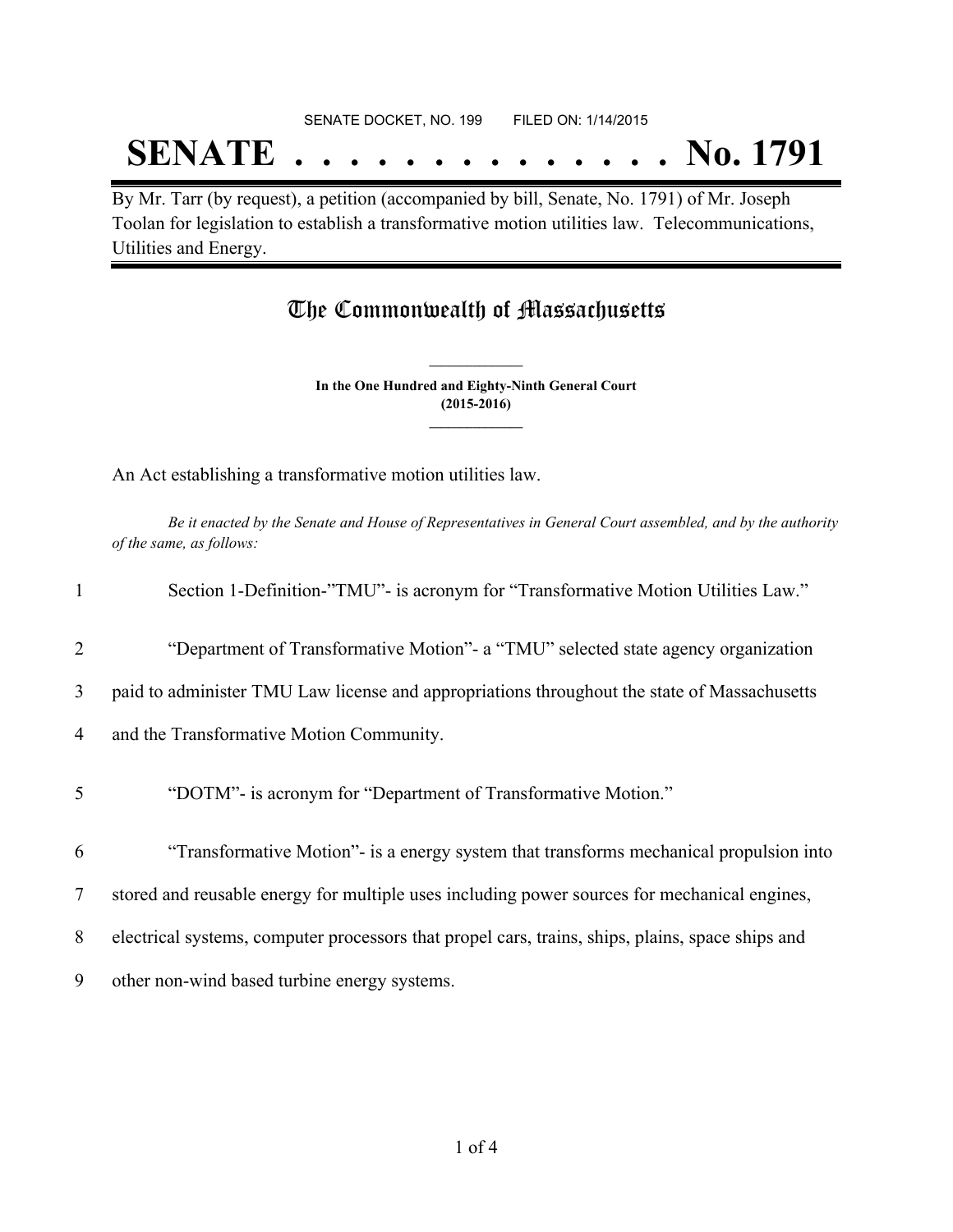#### SENATE DOCKET, NO. 199 FILED ON: 1/14/2015

## **SENATE . . . . . . . . . . . . . . No. 1791**

By Mr. Tarr (by request), a petition (accompanied by bill, Senate, No. 1791) of Mr. Joseph Toolan for legislation to establish a transformative motion utilities law. Telecommunications, Utilities and Energy.

### The Commonwealth of Massachusetts

**In the One Hundred and Eighty-Ninth General Court (2015-2016) \_\_\_\_\_\_\_\_\_\_\_\_\_\_\_**

**\_\_\_\_\_\_\_\_\_\_\_\_\_\_\_**

An Act establishing a transformative motion utilities law.

Be it enacted by the Senate and House of Representatives in General Court assembled, and by the authority *of the same, as follows:*

| $\mathbf{1}$   | Section 1-Definition-"TMU"- is acronym for "Transformative Motion Utilities Law."                |
|----------------|--------------------------------------------------------------------------------------------------|
| $\overline{2}$ | "Department of Transformative Motion"- a "TMU" selected state agency organization                |
| 3              | paid to administer TMU Law license and appropriations throughout the state of Massachusetts      |
| $\overline{4}$ | and the Transformative Motion Community.                                                         |
| 5              | "DOTM"- is acronym for "Department of Transformative Motion."                                    |
| 6              | "Transformative Motion" is a energy system that transforms mechanical propulsion into            |
| $\tau$         | stored and reusable energy for multiple uses including power sources for mechanical engines,     |
| 8              | electrical systems, computer processors that propel cars, trains, ships, plains, space ships and |
| 9              | other non-wind based turbine energy systems.                                                     |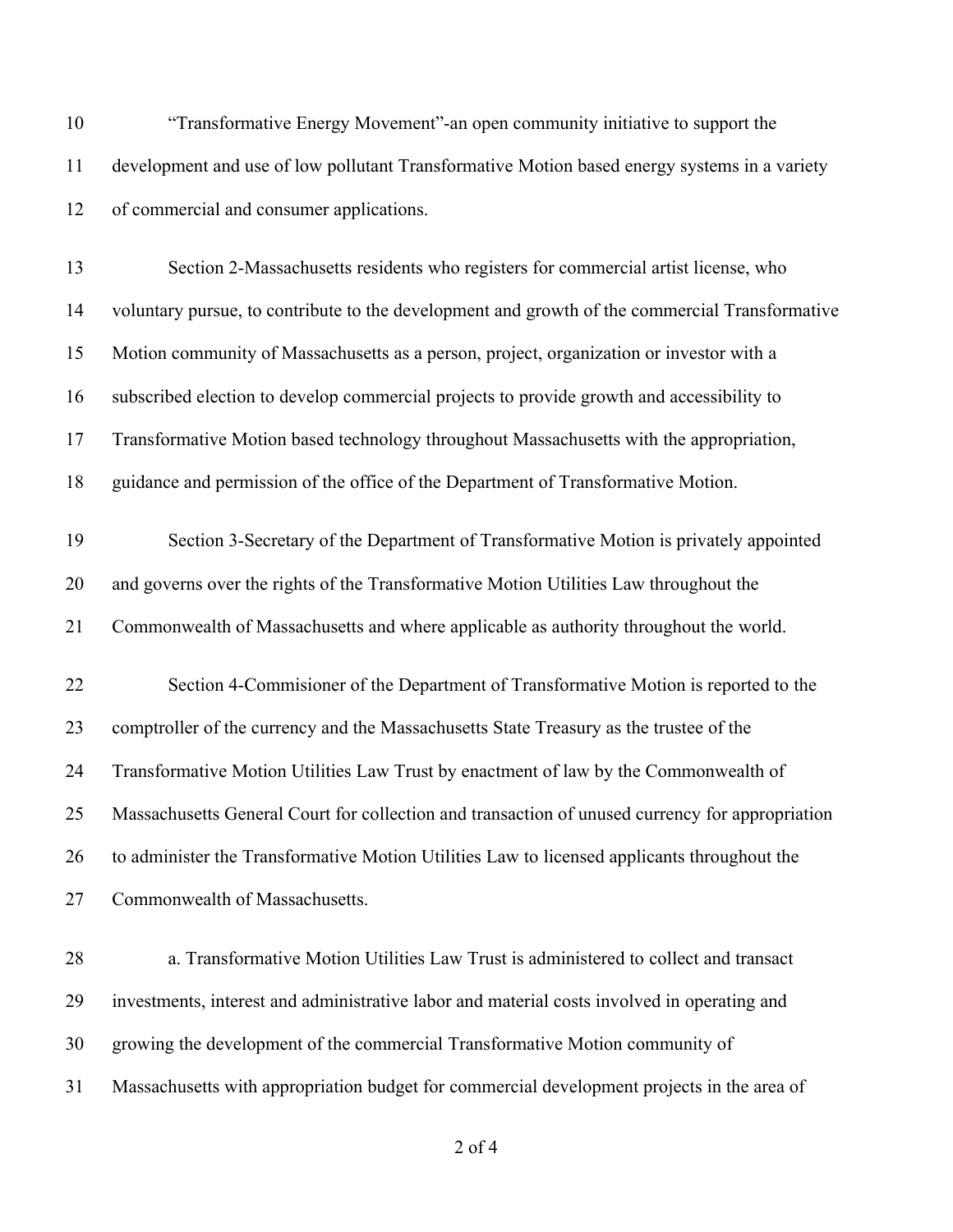| 10 | "Transformative Energy Movement"-an open community initiative to support the                    |
|----|-------------------------------------------------------------------------------------------------|
| 11 | development and use of low pollutant Transformative Motion based energy systems in a variety    |
| 12 | of commercial and consumer applications.                                                        |
| 13 | Section 2-Massachusetts residents who registers for commercial artist license, who              |
| 14 | voluntary pursue, to contribute to the development and growth of the commercial Transformative  |
| 15 | Motion community of Massachusetts as a person, project, organization or investor with a         |
| 16 | subscribed election to develop commercial projects to provide growth and accessibility to       |
| 17 | Transformative Motion based technology throughout Massachusetts with the appropriation,         |
| 18 | guidance and permission of the office of the Department of Transformative Motion.               |
| 19 | Section 3-Secretary of the Department of Transformative Motion is privately appointed           |
| 20 | and governs over the rights of the Transformative Motion Utilities Law throughout the           |
| 21 | Commonwealth of Massachusetts and where applicable as authority throughout the world.           |
| 22 | Section 4-Commisioner of the Department of Transformative Motion is reported to the             |
| 23 | comptroller of the currency and the Massachusetts State Treasury as the trustee of the          |
| 24 | Transformative Motion Utilities Law Trust by enactment of law by the Commonwealth of            |
| 25 | Massachusetts General Court for collection and transaction of unused currency for appropriation |
| 26 | to administer the Transformative Motion Utilities Law to licensed applicants throughout the     |
| 27 | Commonwealth of Massachusetts.                                                                  |
| 28 | a. Transformative Motion Utilities Law Trust is administered to collect and transact            |
| 29 | investments, interest and administrative labor and material costs involved in operating and     |
| 30 | growing the development of the commercial Transformative Motion community of                    |
| 31 | Massachusetts with appropriation budget for commercial development projects in the area of      |
|    |                                                                                                 |

of 4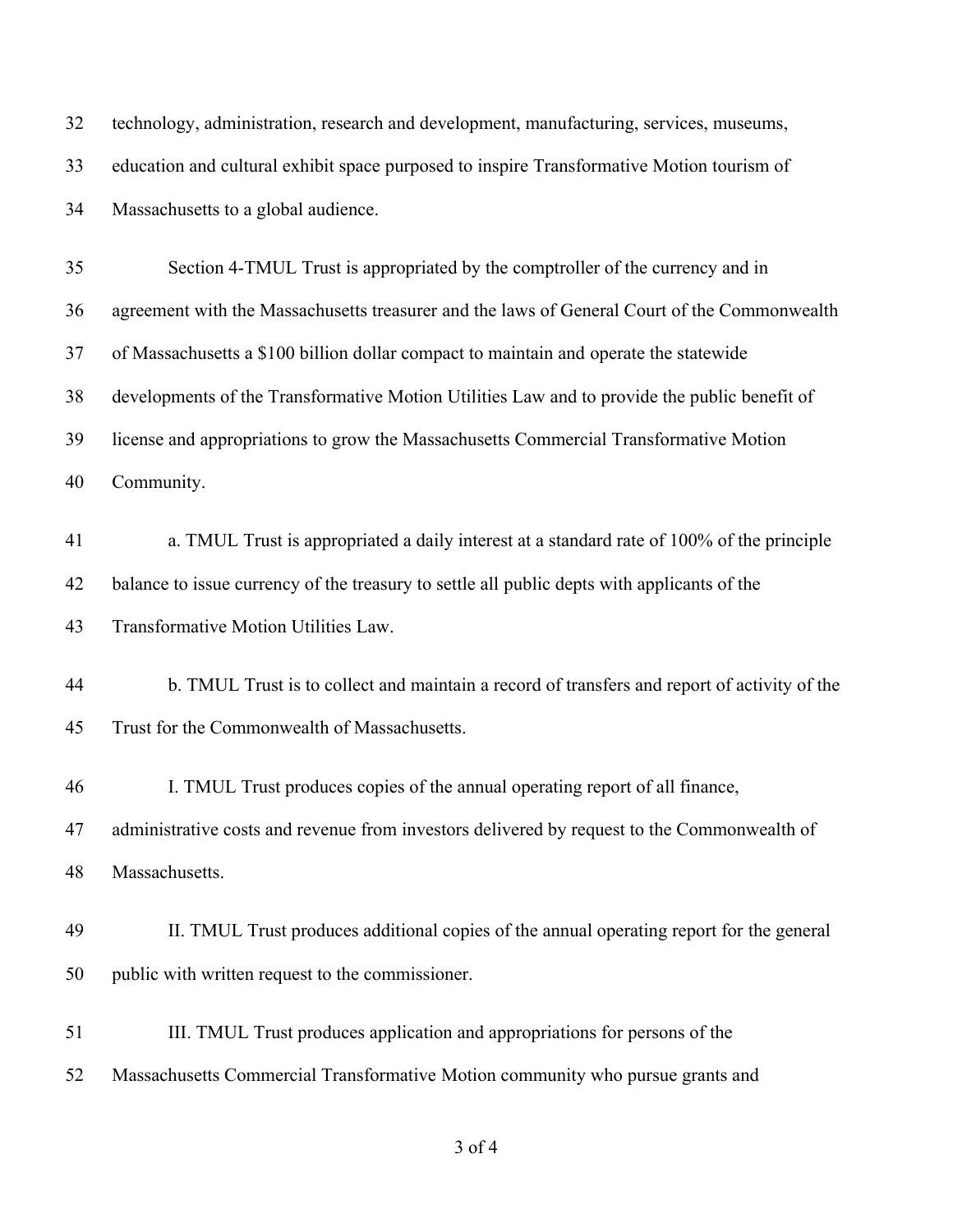| 32 | technology, administration, research and development, manufacturing, services, museums,      |
|----|----------------------------------------------------------------------------------------------|
| 33 | education and cultural exhibit space purposed to inspire Transformative Motion tourism of    |
| 34 | Massachusetts to a global audience.                                                          |
| 35 | Section 4-TMUL Trust is appropriated by the comptroller of the currency and in               |
| 36 | agreement with the Massachusetts treasurer and the laws of General Court of the Commonwealth |
| 37 | of Massachusetts a \$100 billion dollar compact to maintain and operate the statewide        |
| 38 | developments of the Transformative Motion Utilities Law and to provide the public benefit of |
| 39 | license and appropriations to grow the Massachusetts Commercial Transformative Motion        |
| 40 | Community.                                                                                   |
| 41 | a. TMUL Trust is appropriated a daily interest at a standard rate of 100% of the principle   |
| 42 | balance to issue currency of the treasury to settle all public depts with applicants of the  |
| 43 | Transformative Motion Utilities Law.                                                         |
| 44 | b. TMUL Trust is to collect and maintain a record of transfers and report of activity of the |
| 45 | Trust for the Commonwealth of Massachusetts.                                                 |
| 46 | I. TMUL Trust produces copies of the annual operating report of all finance,                 |
| 47 | administrative costs and revenue from investors delivered by request to the Commonwealth of  |
| 48 | Massachusetts.                                                                               |
| 49 | II. TMUL Trust produces additional copies of the annual operating report for the general     |
| 50 | public with written request to the commissioner.                                             |
| 51 | III. TMUL Trust produces application and appropriations for persons of the                   |
| 52 | Massachusetts Commercial Transformative Motion community who pursue grants and               |
|    |                                                                                              |

of 4